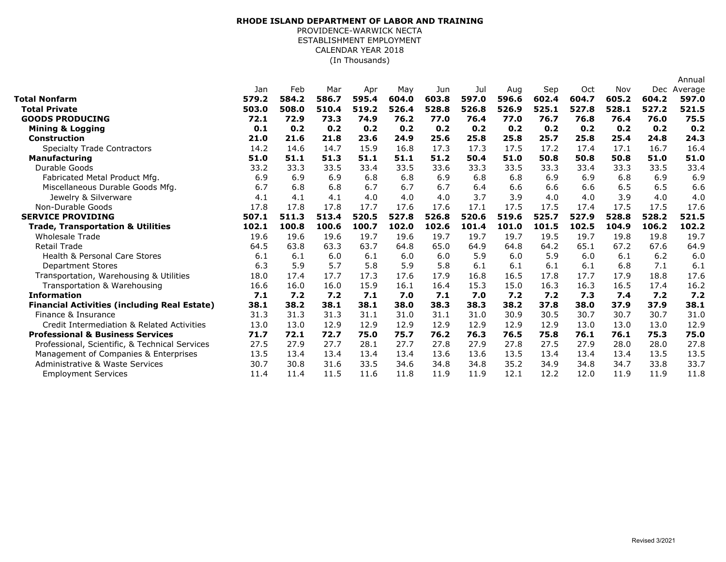## (In Thousands) **RHODE ISLAND DEPARTMENT OF LABOR AND TRAINING** PROVIDENCE-WARWICK NECTA ESTABLISHMENT EMPLOYMENT CALENDAR YEAR 2018

|                                                     |       |       |       |       |       |       |       |       |       |       |       |       | Annual  |
|-----------------------------------------------------|-------|-------|-------|-------|-------|-------|-------|-------|-------|-------|-------|-------|---------|
|                                                     | Jan   | Feb   | Mar   | Apr   | May   | Jun   | Jul   | Aug   | Sep   | Oct   | Nov   | Dec   | Average |
| Total Nonfarm                                       | 579.2 | 584.2 | 586.7 | 595.4 | 604.0 | 603.8 | 597.0 | 596.6 | 602.4 | 604.7 | 605.2 | 604.2 | 597.0   |
| <b>Total Private</b>                                | 503.0 | 508.0 | 510.4 | 519.2 | 526.4 | 528.8 | 526.8 | 526.9 | 525.1 | 527.8 | 528.1 | 527.2 | 521.5   |
| <b>GOODS PRODUCING</b>                              | 72.1  | 72.9  | 73.3  | 74.9  | 76.2  | 77.0  | 76.4  | 77.0  | 76.7  | 76.8  | 76.4  | 76.0  | 75.5    |
| <b>Mining &amp; Logging</b>                         | 0.1   | 0.2   | 0.2   | 0.2   | 0.2   | 0.2   | 0.2   | 0.2   | 0.2   | 0.2   | 0.2   | 0.2   | 0.2     |
| <b>Construction</b>                                 | 21.0  | 21.6  | 21.8  | 23.6  | 24.9  | 25.6  | 25.8  | 25.8  | 25.7  | 25.8  | 25.4  | 24.8  | 24.3    |
| <b>Specialty Trade Contractors</b>                  | 14.2  | 14.6  | 14.7  | 15.9  | 16.8  | 17.3  | 17.3  | 17.5  | 17.2  | 17.4  | 17.1  | 16.7  | 16.4    |
| <b>Manufacturing</b>                                | 51.0  | 51.1  | 51.3  | 51.1  | 51.1  | 51.2  | 50.4  | 51.0  | 50.8  | 50.8  | 50.8  | 51.0  | 51.0    |
| Durable Goods                                       | 33.2  | 33.3  | 33.5  | 33.4  | 33.5  | 33.6  | 33.3  | 33.5  | 33.3  | 33.4  | 33.3  | 33.5  | 33.4    |
| Fabricated Metal Product Mfg.                       | 6.9   | 6.9   | 6.9   | 6.8   | 6.8   | 6.9   | 6.8   | 6.8   | 6.9   | 6.9   | 6.8   | 6.9   | 6.9     |
| Miscellaneous Durable Goods Mfg.                    | 6.7   | 6.8   | 6.8   | 6.7   | 6.7   | 6.7   | 6.4   | 6.6   | 6.6   | 6.6   | 6.5   | 6.5   | 6.6     |
| Jewelry & Silverware                                | 4.1   | 4.1   | 4.1   | 4.0   | 4.0   | 4.0   | 3.7   | 3.9   | 4.0   | 4.0   | 3.9   | 4.0   | 4.0     |
| Non-Durable Goods                                   | 17.8  | 17.8  | 17.8  | 17.7  | 17.6  | 17.6  | 17.1  | 17.5  | 17.5  | 17.4  | 17.5  | 17.5  | 17.6    |
| <b>SERVICE PROVIDING</b>                            | 507.1 | 511.3 | 513.4 | 520.5 | 527.8 | 526.8 | 520.6 | 519.6 | 525.7 | 527.9 | 528.8 | 528.2 | 521.5   |
| <b>Trade, Transportation &amp; Utilities</b>        | 102.1 | 100.8 | 100.6 | 100.7 | 102.0 | 102.6 | 101.4 | 101.0 | 101.5 | 102.5 | 104.9 | 106.2 | 102.2   |
| <b>Wholesale Trade</b>                              | 19.6  | 19.6  | 19.6  | 19.7  | 19.6  | 19.7  | 19.7  | 19.7  | 19.5  | 19.7  | 19.8  | 19.8  | 19.7    |
| <b>Retail Trade</b>                                 | 64.5  | 63.8  | 63.3  | 63.7  | 64.8  | 65.0  | 64.9  | 64.8  | 64.2  | 65.1  | 67.2  | 67.6  | 64.9    |
| <b>Health &amp; Personal Care Stores</b>            | 6.1   | 6.1   | 6.0   | 6.1   | 6.0   | 6.0   | 5.9   | 6.0   | 5.9   | 6.0   | 6.1   | 6.2   | 6.0     |
| <b>Department Stores</b>                            | 6.3   | 5.9   | 5.7   | 5.8   | 5.9   | 5.8   | 6.1   | 6.1   | 6.1   | 6.1   | 6.8   | 7.1   | 6.1     |
| Transportation, Warehousing & Utilities             | 18.0  | 17.4  | 17.7  | 17.3  | 17.6  | 17.9  | 16.8  | 16.5  | 17.8  | 17.7  | 17.9  | 18.8  | 17.6    |
| Transportation & Warehousing                        | 16.6  | 16.0  | 16.0  | 15.9  | 16.1  | 16.4  | 15.3  | 15.0  | 16.3  | 16.3  | 16.5  | 17.4  | 16.2    |
| <b>Information</b>                                  | 7.1   | 7.2   | 7.2   | 7.1   | 7.0   | 7.1   | 7.0   | 7.2   | 7.2   | 7.3   | 7.4   | 7.2   | 7.2     |
| <b>Financial Activities (including Real Estate)</b> | 38.1  | 38.2  | 38.1  | 38.1  | 38.0  | 38.3  | 38.3  | 38.2  | 37.8  | 38.0  | 37.9  | 37.9  | 38.1    |
| Finance & Insurance                                 | 31.3  | 31.3  | 31.3  | 31.1  | 31.0  | 31.1  | 31.0  | 30.9  | 30.5  | 30.7  | 30.7  | 30.7  | 31.0    |
| Credit Intermediation & Related Activities          | 13.0  | 13.0  | 12.9  | 12.9  | 12.9  | 12.9  | 12.9  | 12.9  | 12.9  | 13.0  | 13.0  | 13.0  | 12.9    |
| <b>Professional &amp; Business Services</b>         | 71.7  | 72.1  | 72.7  | 75.0  | 75.7  | 76.2  | 76.3  | 76.5  | 75.8  | 76.1  | 76.1  | 75.3  | 75.0    |
| Professional, Scientific, & Technical Services      | 27.5  | 27.9  | 27.7  | 28.1  | 27.7  | 27.8  | 27.9  | 27.8  | 27.5  | 27.9  | 28.0  | 28.0  | 27.8    |
| Management of Companies & Enterprises               | 13.5  | 13.4  | 13.4  | 13.4  | 13.4  | 13.6  | 13.6  | 13.5  | 13.4  | 13.4  | 13.4  | 13.5  | 13.5    |
| Administrative & Waste Services                     | 30.7  | 30.8  | 31.6  | 33.5  | 34.6  | 34.8  | 34.8  | 35.2  | 34.9  | 34.8  | 34.7  | 33.8  | 33.7    |
| <b>Employment Services</b>                          | 11.4  | 11.4  | 11.5  | 11.6  | 11.8  | 11.9  | 11.9  | 12.1  | 12.2  | 12.0  | 11.9  | 11.9  | 11.8    |